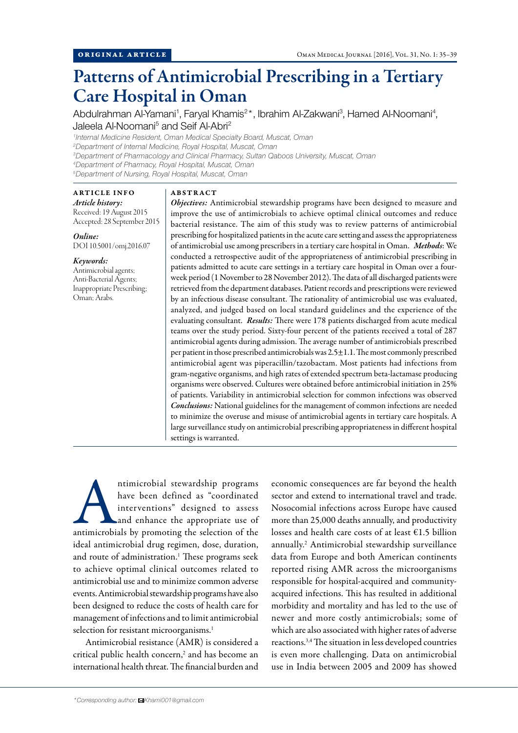# Patterns of Antimicrobial Prescribing in a Tertiary Care Hospital in Oman

Abdulrahman Al-Yamani<sup>1</sup>, Faryal Khamis<sup>2\*</sup>, Ibrahim Al-Zakwani<sup>3</sup>, Hamed Al-Noomani<sup>4</sup> , Jaleela Al-Noomani<sup>5</sup> and Seif Al-Abri<sup>2</sup>

 *Internal Medicine Resident, Oman Medical Specialty Board, Muscat, Oman Department of Internal Medicine, Royal Hospital, Muscat, Oman Department of Pharmacology and Clinical Pharmacy, Sultan Qaboos University, Muscat, Oman Department of Pharmacy, Royal Hospital, Muscat, Oman Department of Nursing, Royal Hospital, Muscat, Oman*

# ARTICLE INFO

*Article history:* Received: 19 August 2015 Accepted: 28 September 2015

*Online:* DOI 10.5001/omj.2016.07

#### *Keywords:*

Antimicrobial agents; Anti-Bacterial Agents; Inappropriate Prescribing; Oman; Arabs.

#### ABSTRACT

*Objectives:* Antimicrobial stewardship programs have been designed to measure and improve the use of antimicrobials to achieve optimal clinical outcomes and reduce bacterial resistance. The aim of this study was to review patterns of antimicrobial prescribing for hospitalized patients in the acute care setting and assess the appropriateness of antimicrobial use among prescribers in a tertiary care hospital in Oman. *Methods*: We conducted a retrospective audit of the appropriateness of antimicrobial prescribing in patients admitted to acute care settings in a tertiary care hospital in Oman over a fourweek period (1 November to 28 November 2012). The data of all discharged patients were retrieved from the department databases. Patient records and prescriptions were reviewed by an infectious disease consultant. The rationality of antimicrobial use was evaluated, analyzed, and judged based on local standard guidelines and the experience of the evaluating consultant. *Results:* There were 178 patients discharged from acute medical teams over the study period. Sixty-four percent of the patients received a total of 287 antimicrobial agents during admission. The average number of antimicrobials prescribed per patient in those prescribed antimicrobials was 2.5±1.1. The most commonly prescribed antimicrobial agent was piperacillin/tazobactam. Most patients had infections from gram-negative organisms, and high rates of extended spectrum beta-lactamase producing organisms were observed. Cultures were obtained before antimicrobial initiation in 25% of patients. Variability in antimicrobial selection for common infections was observed *Conclusions:* National guidelines for the management of common infections are needed to minimize the overuse and misuse of antimicrobial agents in tertiary care hospitals. A large surveillance study on antimicrobial prescribing appropriateness in different hospital settings is warranted.

ntimicrobial stewardship programs<br>
have been defined as "coordinated<br>
interventions" designed to assess<br>
and enhance the appropriate use of<br>
antimicrobials by promoting the selection of the have been defined as "coordinated interventions" designed to assess and enhance the appropriate use of ideal antimicrobial drug regimen, dose, duration, and route of administration.<sup>1</sup> These programs seek to achieve optimal clinical outcomes related to antimicrobial use and to minimize common adverse events. Antimicrobial stewardship programs have also been designed to reduce the costs of health care for management of infections and to limit antimicrobial selection for resistant microorganisms.<sup>1</sup>

Antimicrobial resistance (AMR) is considered a critical public health concern,<sup>2</sup> and has become an international health threat. The financial burden and

economic consequences are far beyond the health sector and extend to international travel and trade. Nosocomial infections across Europe have caused more than 25,000 deaths annually, and productivity losses and health care costs of at least  $£1.5$  billion annually.<sup>2</sup> Antimicrobial stewardship surveillance data from Europe and both American continents reported rising AMR across the microorganisms responsible for hospital-acquired and communityacquired infections. This has resulted in additional morbidity and mortality and has led to the use of newer and more costly antimicrobials; some of which are also associated with higher rates of adverse reactions.3,4 The situation in less developed countries is even more challenging. Data on antimicrobial use in India between 2005 and 2009 has showed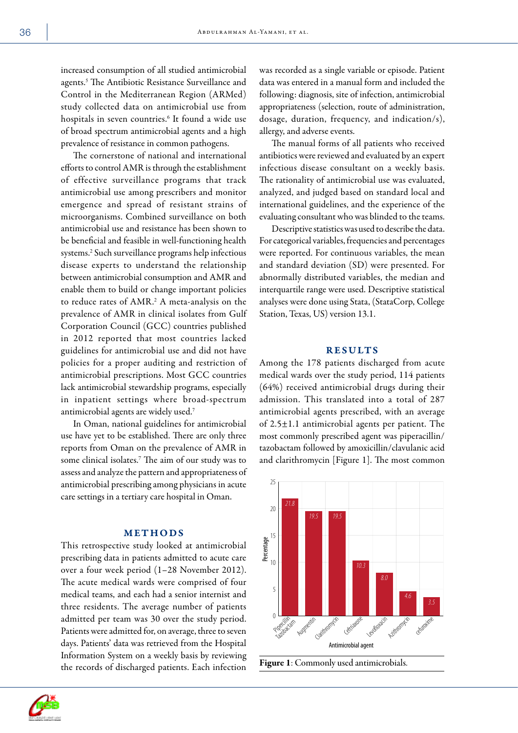increased consumption of all studied antimicrobial agents.<sup>5</sup> The Antibiotic Resistance Surveillance and Control in the Mediterranean Region (ARMed) study collected data on antimicrobial use from hospitals in seven countries.<sup>6</sup> It found a wide use of broad spectrum antimicrobial agents and a high prevalence of resistance in common pathogens.

The cornerstone of national and international efforts to control AMR is through the establishment of effective surveillance programs that track antimicrobial use among prescribers and monitor emergence and spread of resistant strains of microorganisms. Combined surveillance on both antimicrobial use and resistance has been shown to be beneficial and feasible in well-functioning health systems.<sup>2</sup> Such surveillance programs help infectious disease experts to understand the relationship between antimicrobial consumption and AMR and enable them to build or change important policies to reduce rates of AMR.<sup>2</sup> A meta-analysis on the prevalence of AMR in clinical isolates from Gulf Corporation Council (GCC) countries published in 2012 reported that most countries lacked guidelines for antimicrobial use and did not have policies for a proper auditing and restriction of antimicrobial prescriptions. Most GCC countries lack antimicrobial stewardship programs, especially in inpatient settings where broad-spectrum antimicrobial agents are widely used.<sup>7</sup>

In Oman, national guidelines for antimicrobial use have yet to be established. There are only three reports from Oman on the prevalence of AMR in some clinical isolates.7 The aim of our study was to assess and analyze the pattern and appropriateness of antimicrobial prescribing among physicians in acute care settings in a tertiary care hospital in Oman.

## METHODS

This retrospective study looked at antimicrobial prescribing data in patients admitted to acute care over a four week period (1–28 November 2012). The acute medical wards were comprised of four medical teams, and each had a senior internist and three residents. The average number of patients admitted per team was 30 over the study period. Patients were admitted for, on average, three to seven days. Patients' data was retrieved from the Hospital Information System on a weekly basis by reviewing the records of discharged patients. Each infection

was recorded as a single variable or episode. Patient data was entered in a manual form and included the following: diagnosis, site of infection, antimicrobial appropriateness (selection, route of administration, dosage, duration, frequency, and indication/s), allergy, and adverse events.

The manual forms of all patients who received antibiotics were reviewed and evaluated by an expert infectious disease consultant on a weekly basis. The rationality of antimicrobial use was evaluated, analyzed, and judged based on standard local and international guidelines, and the experience of the evaluating consultant who was blinded to the teams.

Descriptive statistics was used to describe the data. For categorical variables, frequencies and percentages were reported. For continuous variables, the mean and standard deviation (SD) were presented. For abnormally distributed variables, the median and interquartile range were used. Descriptive statistical analyses were done using Stata, (StataCorp, College Station, Texas, US) version 13.1.

### RESULTS

Among the 178 patients discharged from acute medical wards over the study period, 114 patients (64%) received antimicrobial drugs during their admission. This translated into a total of 287 antimicrobial agents prescribed, with an average of 2.5±1.1 antimicrobial agents per patient. The most commonly prescribed agent was piperacillin/ tazobactam followed by amoxicillin/clavulanic acid and clarithromycin [Figure 1]. The most common





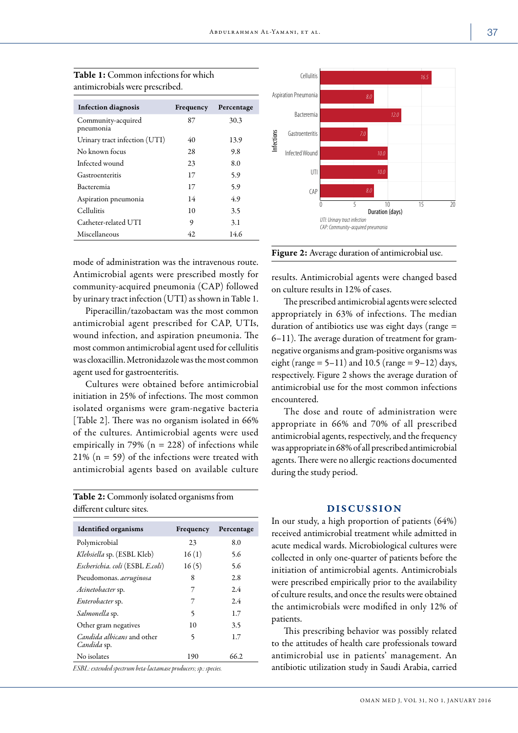| <b>Infection diagnosis</b>      | Frequency | Percentage |
|---------------------------------|-----------|------------|
| Community-acquired<br>pneumonia | 87        | 30.3       |
| Urinary tract infection (UTI)   | 40        | 13.9       |
| No known focus                  | 28        | 9.8        |
| Infected wound                  | 23        | 8.0        |
| Gastroenteritis                 | 17        | 5.9        |
| Bacteremia                      | 17        | 5.9        |
| Aspiration pneumonia            | 14        | 4.9        |
| Cellulitis                      | 10        | 3.5        |
| Catheter-related UTI            | 9         | 3.1        |
| Miscellaneous                   | 42.       | 14.6       |

Table 1: Common infections for which antimicrobials were prescribed.

mode of administration was the intravenous route. Antimicrobial agents were prescribed mostly for community-acquired pneumonia (CAP) followed by urinary tract infection (UTI) as shown in Table 1.

Piperacillin/tazobactam was the most common antimicrobial agent prescribed for CAP, UTIs, wound infection, and aspiration pneumonia. The most common antimicrobial agent used for cellulitis was cloxacillin. Metronidazole was the most common agent used for gastroenteritis.

Cultures were obtained before antimicrobial initiation in 25% of infections. The most common isolated organisms were gram-negative bacteria [Table 2]. There was no organism isolated in 66% of the cultures. Antimicrobial agents were used empirically in 79% ( $n = 228$ ) of infections while 21% (n = 59) of the infections were treated with antimicrobial agents based on available culture

Table 2: Commonly isolated organisms from different culture sites.

| <b>Identified organisms</b>                      | Frequency | Percentage |
|--------------------------------------------------|-----------|------------|
| Polymicrobial                                    | 23        | 8.0        |
| Klebsiella sp. (ESBL Kleb)                       | 16(1)     | 5.6        |
| Escherichia. coli (ESBL E.coli)                  | 16(5)     | 5.6        |
| Pseudomonas. aeruginosa                          | 8         | 2.8        |
| Acinetobacter sp.                                | 7         | 2.4        |
| <i>Enterobacter</i> sp.                          | 7         | 2.4        |
| Salmonella sp.                                   | 5         | 1.7        |
| Other gram negatives                             | 10        | 3.5        |
| <i>Candida albicans</i> and other<br>Candida sp. | 5         | 1.7        |
| No isolates                                      | 190       | 66.2.      |

*ESBL: extended spectrum beta-lactamase producers; sp.: species.*



Figure 2: Average duration of antimicrobial use.

results. Antimicrobial agents were changed based on culture results in 12% of cases.

The prescribed antimicrobial agents were selected appropriately in 63% of infections. The median duration of antibiotics use was eight days (range = 6–11). The average duration of treatment for gramnegative organisms and gram-positive organisms was eight (range  $= 5-11$ ) and 10.5 (range  $= 9-12$ ) days, respectively. Figure 2 shows the average duration of antimicrobial use for the most common infections encountered.

The dose and route of administration were appropriate in 66% and 70% of all prescribed antimicrobial agents, respectively, and the frequency was appropriate in 68% of all prescribed antimicrobial agents. There were no allergic reactions documented during the study period.

## DISCUSSION

In our study, a high proportion of patients (64%) received antimicrobial treatment while admitted in acute medical wards. Microbiological cultures were collected in only one-quarter of patients before the initiation of antimicrobial agents. Antimicrobials were prescribed empirically prior to the availability of culture results, and once the results were obtained the antimicrobials were modified in only 12% of patients.

This prescribing behavior was possibly related to the attitudes of health care professionals toward antimicrobial use in patients' management. An antibiotic utilization study in Saudi Arabia, carried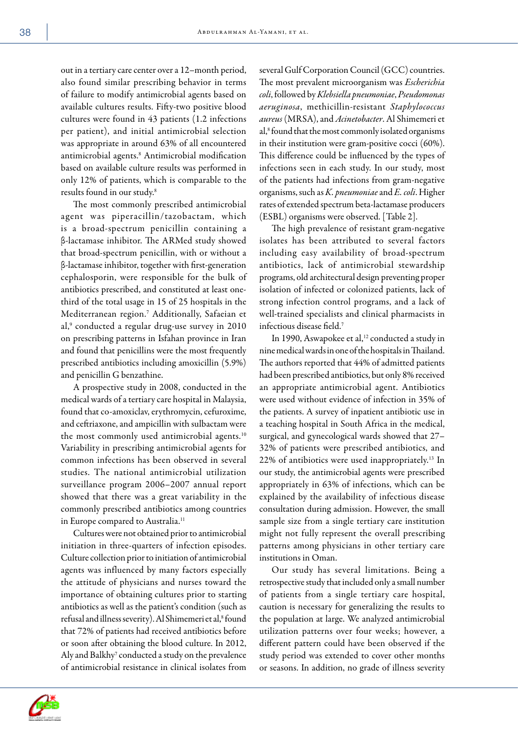out in a tertiary care center over a 12–month period, also found similar prescribing behavior in terms of failure to modify antimicrobial agents based on available cultures results. Fifty-two positive blood cultures were found in 43 patients (1.2 infections per patient), and initial antimicrobial selection was appropriate in around 63% of all encountered antimicrobial agents.<sup>8</sup> Antimicrobial modification based on available culture results was performed in only 12% of patients, which is comparable to the results found in our study.<sup>8</sup>

The most commonly prescribed antimicrobial agent was piperacillin/tazobactam, which is a broad-spectrum penicillin containing a β-lactamase inhibitor. The ARMed study showed that broad-spectrum penicillin, with or without a β-lactamase inhibitor, together with first-generation cephalosporin, were responsible for the bulk of antibiotics prescribed, and constituted at least onethird of the total usage in 15 of 25 hospitals in the Mediterranean region.<sup>7</sup> Additionally, Safaeian et al,<sup>9</sup> conducted a regular drug-use survey in 2010 on prescribing patterns in Isfahan province in Iran and found that penicillins were the most frequently prescribed antibiotics including amoxicillin (5.9%) and penicillin G benzathine.

A prospective study in 2008, conducted in the medical wards of a tertiary care hospital in Malaysia, found that co-amoxiclav, erythromycin, cefuroxime, and ceftriaxone, and ampicillin with sulbactam were the most commonly used antimicrobial agents.<sup>10</sup> Variability in prescribing antimicrobial agents for common infections has been observed in several studies. The national antimicrobial utilization surveillance program 2006–2007 annual report showed that there was a great variability in the commonly prescribed antibiotics among countries in Europe compared to Australia.<sup>11</sup>

Cultures were not obtained prior to antimicrobial initiation in three-quarters of infection episodes. Culture collection prior to initiation of antimicrobial agents was influenced by many factors especially the attitude of physicians and nurses toward the importance of obtaining cultures prior to starting antibiotics as well as the patient's condition (such as refusal and illness severity). Al Shimemeri et al,<sup>8</sup> found that 72% of patients had received antibiotics before or soon after obtaining the blood culture. In 2012, Aly and Balkhy<sup>7</sup> conducted a study on the prevalence of antimicrobial resistance in clinical isolates from

several Gulf Corporation Council (GCC) countries. The most prevalent microorganism was *Escherichia coli*, followed by *Klebsiella pneumoniae*, *Pseudomonas aeruginosa*, methicillin-resistant *Staphylococcus aureus* (MRSA), and *Acinetobacter*. Al Shimemeri et al,<sup>8</sup> found that the most commonly isolated organisms in their institution were gram-positive cocci (60%). This difference could be influenced by the types of infections seen in each study. In our study, most of the patients had infections from gram-negative organisms, such as *K. pneumoniae* and *E. coli*. Higher rates of extended spectrum beta-lactamase producers (ESBL) organisms were observed. [Table 2].

The high prevalence of resistant gram-negative isolates has been attributed to several factors including easy availability of broad-spectrum antibiotics, lack of antimicrobial stewardship programs, old architectural design preventing proper isolation of infected or colonized patients, lack of strong infection control programs, and a lack of well-trained specialists and clinical pharmacists in infectious disease field.<sup>7</sup>

In 1990, Aswapokee et al,<sup>12</sup> conducted a study in nine medical wards in one of the hospitals in Thailand. The authors reported that 44% of admitted patients had been prescribed antibiotics, but only 8% received an appropriate antimicrobial agent. Antibiotics were used without evidence of infection in 35% of the patients. A survey of inpatient antibiotic use in a teaching hospital in South Africa in the medical, surgical, and gynecological wards showed that 27– 32% of patients were prescribed antibiotics, and 22% of antibiotics were used inappropriately.13 In our study, the antimicrobial agents were prescribed appropriately in 63% of infections, which can be explained by the availability of infectious disease consultation during admission. However, the small sample size from a single tertiary care institution might not fully represent the overall prescribing patterns among physicians in other tertiary care institutions in Oman.

Our study has several limitations. Being a retrospective study that included only a small number of patients from a single tertiary care hospital, caution is necessary for generalizing the results to the population at large. We analyzed antimicrobial utilization patterns over four weeks; however, a different pattern could have been observed if the study period was extended to cover other months or seasons. In addition, no grade of illness severity